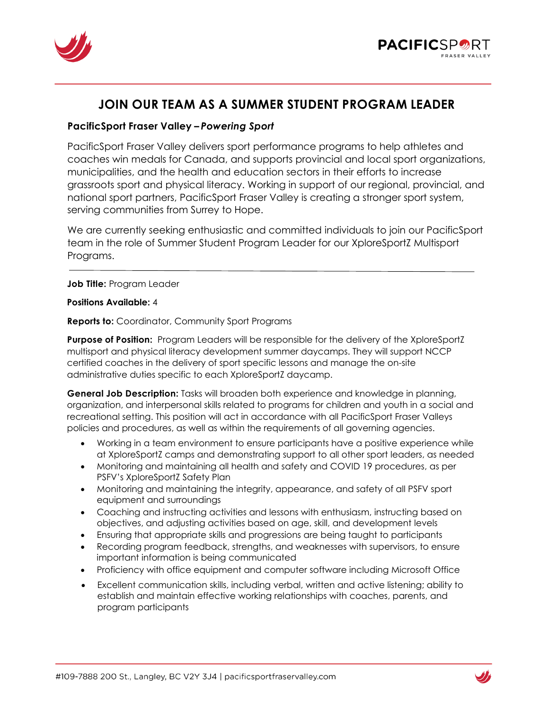



# **JOIN OUR TEAM AS A SUMMER STUDENT PROGRAM LEADER**

# **PacificSport Fraser Valley –** *Powering Sport*

PacificSport Fraser Valley delivers sport performance programs to help athletes and coaches win medals for Canada, and supports provincial and local sport organizations, municipalities, and the health and education sectors in their efforts to increase grassroots sport and physical literacy. Working in support of our regional, provincial, and national sport partners, PacificSport Fraser Valley is creating a stronger sport system, serving communities from Surrey to Hope.

We are currently seeking enthusiastic and committed individuals to join our PacificSport team in the role of Summer Student Program Leader for our XploreSportZ Multisport Programs.

**Job Title:** Program Leader

# **Positions Available:** 4

**Reports to:** Coordinator, Community Sport Programs

**Purpose of Position:** Program Leaders will be responsible for the delivery of the XploreSportZ multisport and physical literacy development summer daycamps. They will support NCCP certified coaches in the delivery of sport specific lessons and manage the on-site administrative duties specific to each XploreSportZ daycamp.

**General Job Description:** Tasks will broaden both experience and knowledge in planning, organization, and interpersonal skills related to programs for children and youth in a social and recreational setting. This position will act in accordance with all PacificSport Fraser Valleys policies and procedures, as well as within the requirements of all governing agencies.

- Working in a team environment to ensure participants have a positive experience while at XploreSportZ camps and demonstrating support to all other sport leaders, as needed
- Monitoring and maintaining all health and safety and COVID 19 procedures, as per PSFV's XploreSportZ Safety Plan
- Monitoring and maintaining the integrity, appearance, and safety of all PSFV sport equipment and surroundings
- Coaching and instructing activities and lessons with enthusiasm, instructing based on objectives, and adjusting activities based on age, skill, and development levels
- Ensuring that appropriate skills and progressions are being taught to participants
- Recording program feedback, strengths, and weaknesses with supervisors, to ensure important information is being communicated
- Proficiency with office equipment and computer software including Microsoft Office
- Excellent communication skills, including verbal, written and active listening; ability to establish and maintain effective working relationships with coaches, parents, and program participants